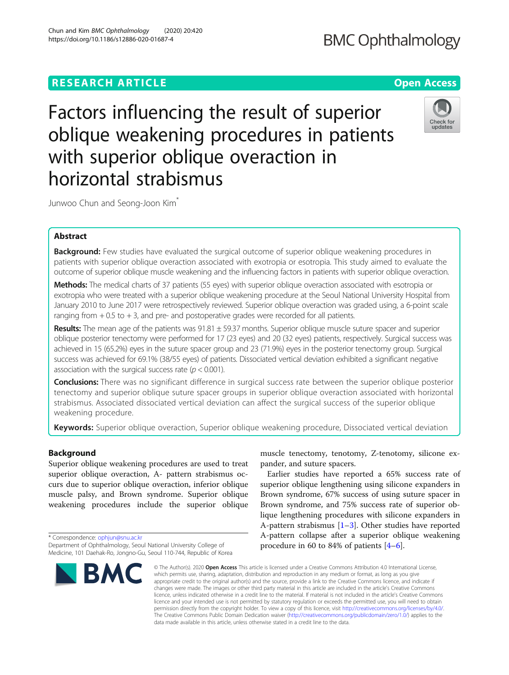# **RESEARCH ARTICLE Example 2014 12:30 The Contract of Contract ACCESS**

Factors influencing the result of superior oblique weakening procedures in patients with superior oblique overaction in horizontal strabismus

Junwoo Chun and Seong-Joon Kim<sup>\*</sup>

## Abstract

Background: Few studies have evaluated the surgical outcome of superior oblique weakening procedures in patients with superior oblique overaction associated with exotropia or esotropia. This study aimed to evaluate the outcome of superior oblique muscle weakening and the influencing factors in patients with superior oblique overaction.

Methods: The medical charts of 37 patients (55 eyes) with superior oblique overaction associated with esotropia or exotropia who were treated with a superior oblique weakening procedure at the Seoul National University Hospital from January 2010 to June 2017 were retrospectively reviewed. Superior oblique overaction was graded using, a 6-point scale ranging from  $+0.5$  to  $+3$ , and pre- and postoperative grades were recorded for all patients.

**Results:** The mean age of the patients was  $91.81 \pm 59.37$  months. Superior oblique muscle suture spacer and superior oblique posterior tenectomy were performed for 17 (23 eyes) and 20 (32 eyes) patients, respectively. Surgical success was achieved in 15 (65.2%) eyes in the suture spacer group and 23 (71.9%) eyes in the posterior tenectomy group. Surgical success was achieved for 69.1% (38/55 eyes) of patients. Dissociated vertical deviation exhibited a significant negative association with the surgical success rate ( $p < 0.001$ ).

**Conclusions:** There was no significant difference in surgical success rate between the superior oblique posterior tenectomy and superior oblique suture spacer groups in superior oblique overaction associated with horizontal strabismus. Associated dissociated vertical deviation can affect the surgical success of the superior oblique weakening procedure.

Keywords: Superior oblique overaction, Superior oblique weakening procedure, Dissociated vertical deviation

## Background

Superior oblique weakening procedures are used to treat superior oblique overaction, A- pattern strabismus occurs due to superior oblique overaction, inferior oblique muscle palsy, and Brown syndrome. Superior oblique weakening procedures include the superior oblique

\* Correspondence: [ophjun@snu.ac.kr](mailto:ophjun@snu.ac.kr) Department of Ophthalmology, Seoul National University College of Medicine, 101 Daehak-Ro, Jongno-Gu, Seoul 110-744, Republic of Korea

Earlier studies have reported a 65% success rate of superior oblique lengthening using silicone expanders in

pander, and suture spacers.

Brown syndrome, 67% success of using suture spacer in Brown syndrome, and 75% success rate of superior oblique lengthening procedures with silicone expanders in A-pattern strabismus  $[1-3]$  $[1-3]$  $[1-3]$  $[1-3]$ . Other studies have reported A-pattern collapse after a superior oblique weakening procedure in 60 to 84% of patients [[4](#page-4-0)–[6](#page-4-0)].

muscle tenectomy, tenotomy, Z-tenotomy, silicone ex-

© The Author(s), 2020 **Open Access** This article is licensed under a Creative Commons Attribution 4.0 International License, which permits use, sharing, adaptation, distribution and reproduction in any medium or format, as long as you give appropriate credit to the original author(s) and the source, provide a link to the Creative Commons licence, and indicate if changes were made. The images or other third party material in this article are included in the article's Creative Commons licence, unless indicated otherwise in a credit line to the material. If material is not included in the article's Creative Commons licence and your intended use is not permitted by statutory regulation or exceeds the permitted use, you will need to obtain permission directly from the copyright holder. To view a copy of this licence, visit [http://creativecommons.org/licenses/by/4.0/.](http://creativecommons.org/licenses/by/4.0/) The Creative Commons Public Domain Dedication waiver [\(http://creativecommons.org/publicdomain/zero/1.0/](http://creativecommons.org/publicdomain/zero/1.0/)) applies to the data made available in this article, unless otherwise stated in a credit line to the data.

Chun and Kim *BMC Ophthalmology (*2020) 20:420<br>https://doi.org/10.1186/s12886-020-01687-4





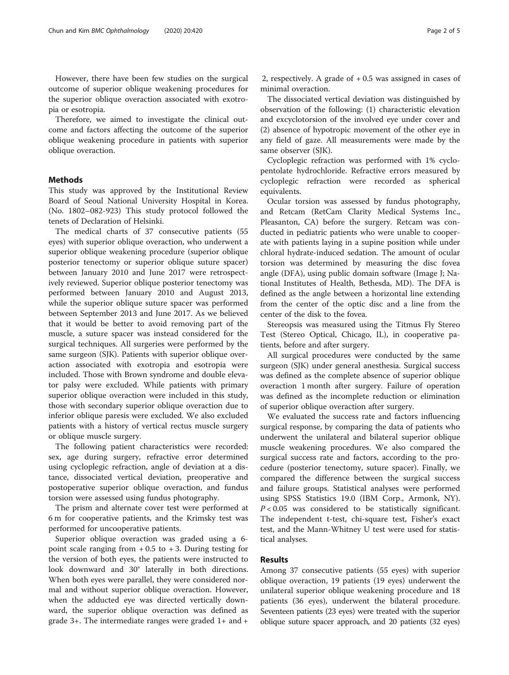However, there have been few studies on the surgical outcome of superior oblique weakening procedures for the superior oblique overaction associated with exotropia or esotropia.

Therefore, we aimed to investigate the clinical outcome and factors affecting the outcome of the superior oblique weakening procedure in patients with superior oblique overaction.

## Methods

This study was approved by the Institutional Review Board of Seoul National University Hospital in Korea. (No. 1802–082-923) This study protocol followed the tenets of Declaration of Helsinki.

The medical charts of 37 consecutive patients (55 eyes) with superior oblique overaction, who underwent a superior oblique weakening procedure (superior oblique posterior tenectomy or superior oblique suture spacer) between January 2010 and June 2017 were retrospectively reviewed. Superior oblique posterior tenectomy was performed between January 2010 and August 2013, while the superior oblique suture spacer was performed between September 2013 and June 2017. As we believed that it would be better to avoid removing part of the muscle, a suture spacer was instead considered for the surgical techniques. All surgeries were performed by the same surgeon (SJK). Patients with superior oblique overaction associated with exotropia and esotropia were included. Those with Brown syndrome and double elevator palsy were excluded. While patients with primary superior oblique overaction were included in this study, those with secondary superior oblique overaction due to inferior oblique paresis were excluded. We also excluded patients with a history of vertical rectus muscle surgery or oblique muscle surgery.

The following patient characteristics were recorded: sex, age during surgery, refractive error determined using cycloplegic refraction, angle of deviation at a distance, dissociated vertical deviation, preoperative and postoperative superior oblique overaction, and fundus torsion were assessed using fundus photography.

The prism and alternate cover test were performed at 6 m for cooperative patients, and the Krimsky test was performed for uncooperative patients.

Superior oblique overaction was graded using a 6 point scale ranging from  $+0.5$  to  $+3$ . During testing for the version of both eyes, the patients were instructed to look downward and 30° laterally in both directions. When both eyes were parallel, they were considered normal and without superior oblique overaction. However, when the adducted eye was directed vertically downward, the superior oblique overaction was defined as grade 3+. The intermediate ranges were graded 1+ and +

2, respectively. A grade of  $+0.5$  was assigned in cases of minimal overaction.

The dissociated vertical deviation was distinguished by observation of the following: (1) characteristic elevation and excyclotorsion of the involved eye under cover and (2) absence of hypotropic movement of the other eye in any field of gaze. All measurements were made by the same observer (SJK).

Cycloplegic refraction was performed with 1% cyclopentolate hydrochloride. Refractive errors measured by cycloplegic refraction were recorded as spherical equivalents.

Ocular torsion was assessed by fundus photography, and Retcam (RetCam Clarity Medical Systems Inc., Pleasanton, CA) before the surgery. Retcam was conducted in pediatric patients who were unable to cooperate with patients laying in a supine position while under chloral hydrate-induced sedation. The amount of ocular torsion was determined by measuring the disc fovea angle (DFA), using public domain software (Image J; National Institutes of Health, Bethesda, MD). The DFA is defined as the angle between a horizontal line extending from the center of the optic disc and a line from the center of the disk to the fovea.

Stereopsis was measured using the Titmus Fly Stereo Test (Stereo Optical, Chicago, IL), in cooperative patients, before and after surgery.

All surgical procedures were conducted by the same surgeon (SJK) under general anesthesia. Surgical success was defined as the complete absence of superior oblique overaction 1 month after surgery. Failure of operation was defined as the incomplete reduction or elimination of superior oblique overaction after surgery.

We evaluated the success rate and factors influencing surgical response, by comparing the data of patients who underwent the unilateral and bilateral superior oblique muscle weakening procedures. We also compared the surgical success rate and factors, according to the procedure (posterior tenectomy, suture spacer). Finally, we compared the difference between the surgical success and failure groups. Statistical analyses were performed using SPSS Statistics 19.0 (IBM Corp., Armonk, NY).  $P < 0.05$  was considered to be statistically significant. The independent t-test, chi-square test, Fisher's exact test, and the Mann-Whitney U test were used for statistical analyses.

## Results

Among 37 consecutive patients (55 eyes) with superior oblique overaction, 19 patients (19 eyes) underwent the unilateral superior oblique weakening procedure and 18 patients (36 eyes), underwent the bilateral procedure. Seventeen patients (23 eyes) were treated with the superior oblique suture spacer approach, and 20 patients (32 eyes)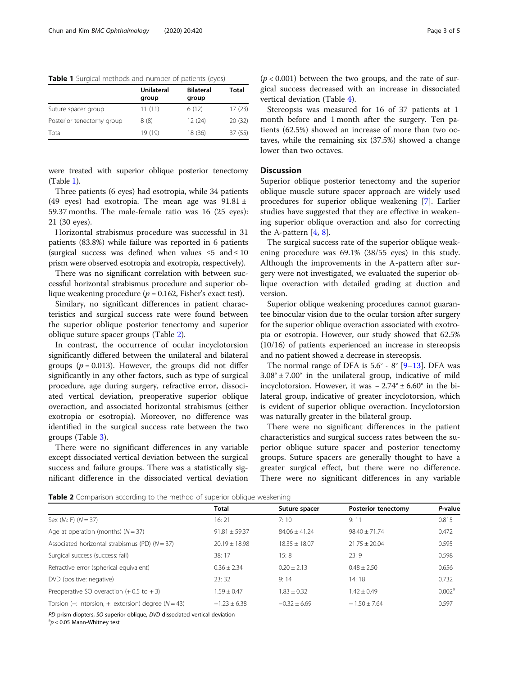Table 1 Surgical methods and number of patients (eyes)

|                           | Unilateral<br>group | <b>Bilateral</b><br>group | Total  |
|---------------------------|---------------------|---------------------------|--------|
| Suture spacer group       | 11(11)              | 6(12)                     | 17(23) |
| Posterior tenectomy group | 8(8)                | 12(24)                    | 20(32) |
| Total                     | 19 (19)             | 18 (36)                   | 37(55) |

were treated with superior oblique posterior tenectomy (Table 1).

Three patients (6 eyes) had esotropia, while 34 patients (49 eyes) had exotropia. The mean age was  $91.81 \pm$ 59.37 months. The male-female ratio was 16 (25 eyes): 21 (30 eyes).

Horizontal strabismus procedure was successful in 31 patients (83.8%) while failure was reported in 6 patients (surgical success was defined when values  $\leq 5$  and  $\leq 10$ prism were observed esotropia and exotropia, respectively).

There was no significant correlation with between successful horizontal strabismus procedure and superior oblique weakening procedure ( $p = 0.162$ , Fisher's exact test).

Similary, no significant differences in patient characteristics and surgical success rate were found between the superior oblique posterior tenectomy and superior oblique suture spacer groups (Table 2).

In contrast, the occurrence of ocular incyclotorsion significantly differed between the unilateral and bilateral groups ( $p = 0.013$ ). However, the groups did not differ significantly in any other factors, such as type of surgical procedure, age during surgery, refractive error, dissociated vertical deviation, preoperative superior oblique overaction, and associated horizontal strabismus (either exotropia or esotropia). Moreover, no difference was identified in the surgical success rate between the two groups (Table [3](#page-3-0)).

There were no significant differences in any variable except dissociated vertical deviation between the surgical success and failure groups. There was a statistically significant difference in the dissociated vertical deviation

Stereopsis was measured for 16 of 37 patients at 1 month before and 1 month after the surgery. Ten patients (62.5%) showed an increase of more than two octaves, while the remaining six (37.5%) showed a change lower than two octaves.

## **Discussion**

Superior oblique posterior tenectomy and the superior oblique muscle suture spacer approach are widely used procedures for superior oblique weakening [[7\]](#page-4-0). Earlier studies have suggested that they are effective in weakening superior oblique overaction and also for correcting the A-pattern  $[4, 8]$  $[4, 8]$  $[4, 8]$  $[4, 8]$ .

The surgical success rate of the superior oblique weakening procedure was 69.1% (38/55 eyes) in this study. Although the improvements in the A-pattern after surgery were not investigated, we evaluated the superior oblique overaction with detailed grading at duction and version.

Superior oblique weakening procedures cannot guarantee binocular vision due to the ocular torsion after surgery for the superior oblique overaction associated with exotropia or esotropia. However, our study showed that 62.5% (10/16) of patients experienced an increase in stereopsis and no patient showed a decrease in stereopsis.

The normal range of DFA is  $5.6^{\circ}$  -  $8^{\circ}$  [\[9](#page-4-0)–[13\]](#page-4-0). DFA was  $3.08^{\circ} \pm 7.00^{\circ}$  in the unilateral group, indicative of mild incyclotorsion. However, it was − 2.74° ± 6.60° in the bilateral group, indicative of greater incyclotorsion, which is evident of superior oblique overaction. Incyclotorsion was naturally greater in the bilateral group.

There were no significant differences in the patient characteristics and surgical success rates between the superior oblique suture spacer and posterior tenectomy groups. Suture spacers are generally thought to have a greater surgical effect, but there were no difference. There were no significant differences in any variable

Table 2 Comparison according to the method of superior oblique weakening

| <b>TWARD &amp;</b> Companion according to the method of superior opingue weakerming |                   |                   |                            |                    |  |  |  |
|-------------------------------------------------------------------------------------|-------------------|-------------------|----------------------------|--------------------|--|--|--|
|                                                                                     | Total             | Suture spacer     | <b>Posterior tenectomy</b> | P-value            |  |  |  |
| Sex (M: F) $(N = 37)$                                                               | 16:21             | 7:10              | 9:11                       | 0.815              |  |  |  |
| Age at operation (months) $(N = 37)$                                                | $91.81 \pm 59.37$ | $84.06 + 41.24$   | $98.40 + 71.74$            | 0.472              |  |  |  |
| Associated horizontal strabismus (PD) ( $N = 37$ )                                  | $20.19 \pm 18.98$ | $18.35 \pm 18.07$ | $21.75 + 20.04$            | 0.595              |  |  |  |
| Surgical success (success: fail)                                                    | 38:17             | 15:8              | 23:9                       | 0.598              |  |  |  |
| Refractive error (spherical equivalent)                                             | $0.36 + 2.34$     | $0.20 + 2.13$     | $0.48 + 2.50$              | 0.656              |  |  |  |
| DVD (positive: negative)                                                            | 23:32             | 9:14              | 14:18                      | 0.732              |  |  |  |
| Preoperative SO overaction $(+ 0.5$ to $+ 3)$                                       | $1.59 + 0.47$     | $1.83 + 0.32$     | $1.42 + 0.49$              | 0.002 <sup>a</sup> |  |  |  |
| Torsion (-: intorsion, +: extorsion) degree ( $N = 43$ )                            | $-1.23 \pm 6.38$  | $-0.32 + 6.69$    | $-1.50 \pm 7.64$           | 0.597              |  |  |  |
|                                                                                     |                   |                   |                            |                    |  |  |  |

PD prism diopters, SO superior oblique, DVD dissociated vertical deviation

 ${}^{a}p$  < 0.05 Mann-Whitney test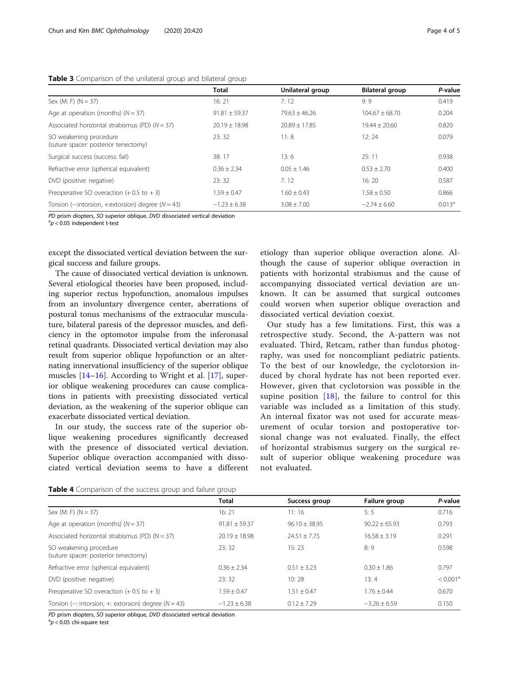## <span id="page-3-0"></span>Table 3 Comparison of the unilateral group and bilateral group

|                                                                | Total             | Unilateral group  | <b>Bilateral group</b> | P-value            |
|----------------------------------------------------------------|-------------------|-------------------|------------------------|--------------------|
| Sex (M: F) $(N = 37)$                                          | 16:21             | 7:12              | 9:9                    | 0.419              |
| Age at operation (months) $(N = 37)$                           | $91.81 \pm 59.37$ | $79.63 + 46.26$   | $104.67 + 68.70$       | 0.204              |
| Associated horizontal strabismus (PD) ( $N = 37$ )             | $20.19 \pm 18.98$ | $20.89 \pm 17.85$ | $19.44 \pm 20.60$      | 0.820              |
| SO weakening procedure<br>(suture spacer: posterior tenectomy) | 23:32             | 11:8              | 12:24                  | 0.079              |
| Surgical success (success: fail)                               | 38:17             | 13:6              | 25:11                  | 0.938              |
| Refractive error (spherical equivalent)                        | $0.36 \pm 2.34$   | $0.05 + 1.46$     | $0.53 \pm 2.70$        | 0.400              |
| DVD (positive: negative)                                       | 23:32             | 7:12              | 16:20                  | 0.587              |
| Preoperative SO overaction $(+ 0.5$ to $+ 3)$                  | $1.59 \pm 0.47$   | $1.60 + 0.43$     | $1.58 \pm 0.50$        | 0.866              |
| Torsion ( $-i$ ntorsion, $+i$ extorsion) degree ( $N = 43$ )   | $-1.23 + 6.38$    | $3.08 + 7.00$     | $-2.74 + 6.60$         | 0.013 <sup>a</sup> |

PD prism diopters, SO superior oblique, DVD dissociated vertical deviation

 $a<sub>p</sub> < 0.05$  independent t-test

except the dissociated vertical deviation between the surgical success and failure groups.

The cause of dissociated vertical deviation is unknown. Several etiological theories have been proposed, including superior rectus hypofunction, anomalous impulses from an involuntary divergence center, aberrations of postural tonus mechanisms of the extraocular musculature, bilateral paresis of the depressor muscles, and deficiency in the optomotor impulse from the inferonasal retinal quadrants. Dissociated vertical deviation may also result from superior oblique hypofunction or an alternating innervational insufficiency of the superior oblique muscles [[14](#page-4-0)–[16](#page-4-0)]. According to Wright et al. [\[17\]](#page-4-0), superior oblique weakening procedures can cause complications in patients with preexisting dissociated vertical deviation, as the weakening of the superior oblique can exacerbate dissociated vertical deviation.

In our study, the success rate of the superior oblique weakening procedures significantly decreased with the presence of dissociated vertical deviation. Superior oblique overaction accompanied with dissociated vertical deviation seems to have a different etiology than superior oblique overaction alone. Although the cause of superior oblique overaction in patients with horizontal strabismus and the cause of accompanying dissociated vertical deviation are unknown. It can be assumed that surgical outcomes could worsen when superior oblique overaction and dissociated vertical deviation coexist.

Our study has a few limitations. First, this was a retrospective study. Second, the A-pattern was not evaluated. Third, Retcam, rather than fundus photography, was used for noncompliant pediatric patients. To the best of our knowledge, the cyclotorsion induced by choral hydrate has not been reported ever. However, given that cyclotorsion was possible in the supine position [[18\]](#page-4-0), the failure to control for this variable was included as a limitation of this study. An internal fixator was not used for accurate measurement of ocular torsion and postoperative torsional change was not evaluated. Finally, the effect of horizontal strabismus surgery on the surgical result of superior oblique weakening procedure was not evaluated.

|  | Table 4 Comparison of the success group and failure group |  |  |  |  |  |  |
|--|-----------------------------------------------------------|--|--|--|--|--|--|
|--|-----------------------------------------------------------|--|--|--|--|--|--|

|                                                                | Total             | Success group   | Failure group   | P-value              |
|----------------------------------------------------------------|-------------------|-----------------|-----------------|----------------------|
| Sex (M: F) $(N = 37)$                                          | 16:21             | 11:16           | 5:5             | 0.716                |
| Age at operation (months) $(N = 37)$                           | $91.81 \pm 59.37$ | $96.10 + 38.95$ | $90.22 + 65.93$ | 0.793                |
| Associated horizontal strabismus (PD) ( $N = 37$ )             | $20.19 + 18.98$   | $24.51 + 7.75$  | $16.58 + 3.19$  | 0.291                |
| SO weakening procedure<br>(suture spacer: posterior tenectomy) | 23:32             | 15:23           | 8:9             | 0.598                |
| Refractive error (spherical equivalent)                        | $0.36 + 2.34$     | $0.51 + 3.23$   | $0.30 + 1.86$   | 0.797                |
| DVD (positive: negative)                                       | 23:32             | 10:28           | 13:4            | < 0.001 <sup>a</sup> |
| Preoperative SO overaction $(+ 0.5 \text{ to } + 3)$           | $1.59 + 0.47$     | $1.51 + 0.47$   | $1.76 + 0.44$   | 0.670                |
| Torsion (-: intorsion, +: extorsion) degree ( $N = 43$ )       | $-1.23 + 6.38$    | $0.12 + 7.29$   | $-3.26 + 6.59$  | 0.150                |

PD prism diopters, SO superior oblique, DVD dissociated vertical deviation

 ${}^{a}p$  < 0.05 chi-square test